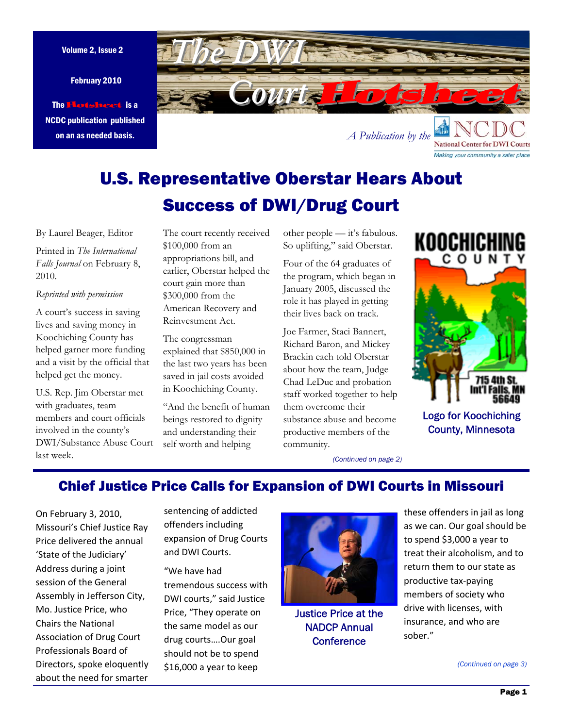February 2010

The Hotsheet is a NCDC publication published on an as needed basis.

<span id="page-0-0"></span>

U.S. Representative Oberstar Hears About Success of DWI/Drug Court

By Laurel Beager, Editor

Printed in *The International Falls Journal* on February 8, 2010.

### *Reprinted with permission*

A court's success in saving lives and saving money in Koochiching County has helped garner more funding and a visit by the official that helped get the money.

U.S. Rep. Jim Oberstar met with graduates, team members and court officials involved in the county's DWI/Substance Abuse Court last week.

The court recently received \$100,000 from an appropriations bill, and earlier, Oberstar helped the court gain more than \$300,000 from the American Recovery and Reinvestment Act.

The congressman explained that \$850,000 in the last two years has been saved in jail costs avoided in Koochiching County.

"And the benefit of human beings restored to dignity and understanding their self worth and helping

other people — it's fabulous. So uplifting," said Oberstar.

Four of the 64 graduates of the program, which began in January 2005, discussed the role it has played in getting their lives back on track.

Joe Farmer, Staci Bannert, Richard Baron, and Mickey Brackin each told Oberstar about how the team, Judge Chad LeDuc and probation staff worked together to help them overcome their substance abuse and become productive members of the community.



Making your community a safer place

Logo for Koochiching County, Minnesota

*[\(Continued on page 2\)](#page-1-0)* 

## Chief Justice Price Calls for Expansion of DWI Courts in Missouri

On February 3, 2010, Missouri's Chief Justice Ray Price delivered the annual 'State of the Judiciary' Address during a joint session of the General Assembly in Jefferson City, Mo. Justice Price, who Chairs the National Association of Drug Court Professionals Board of Directors, spoke eloquently about the need for smarter

sentencing of addicted offenders including expansion of Drug Courts and DWI Courts.

"We have had tremendous success with DWI courts," said Justice Price, "They operate on the same model as our drug courts….Our goal should not be to spend \$16,000 a year to keep



Justice Price at the NADCP Annual **Conference** 

these offenders in jail as long as we can. Our goal should be to spend \$3,000 a year to treat their alcoholism, and to return them to our state as productive tax‐paying members of society who drive with licenses, with insurance, and who are sober."

*[\(Continued on page 3\)](#page-2-0)*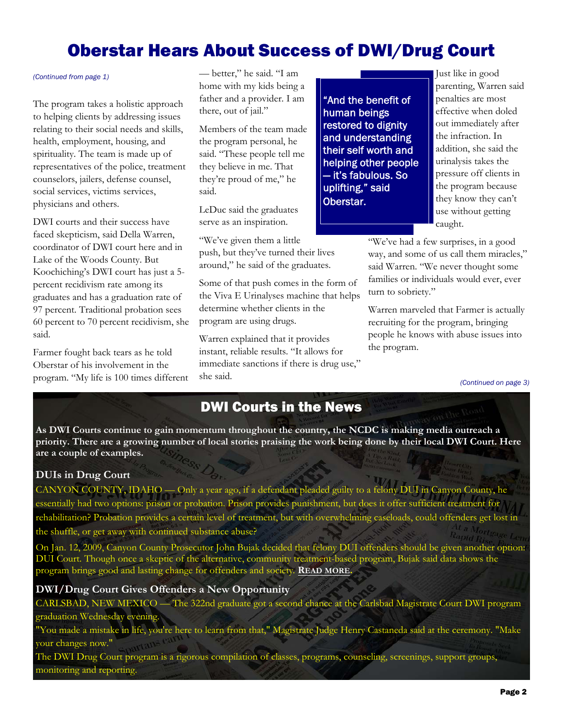# Oberstar Hears About Success of DWI/Drug Court

The program takes a holistic approach to helping clients by addressing issues relating to their social needs and skills, health, employment, housing, and spirituality. The team is made up of representatives of the police, treatment counselors, jailers, defense counsel, social services, victims services, physicians and others.

DWI courts and their success have faced skepticism, said Della Warren, coordinator of DWI court here and in Lake of the Woods County. But Koochiching's DWI court has just a 5 percent recidivism rate among its graduates and has a graduation rate of 97 percent. Traditional probation sees 60 percent to 70 percent recidivism, she said.

Farmer fought back tears as he told Oberstar of his involvement in the program. "My life is 100 times different

<span id="page-1-0"></span>— better," he said. "I am *[\(Continued from page 1\)](#page-0-0)* Just like in good home with my kids being a father and a provider. I am there, out of jail."

> Members of the team made the program personal, he said. "These people tell me they believe in me. That they're proud of me," he said.

LeDuc said the graduates serve as an inspiration.

"We've given them a little push, but they've turned their lives around," he said of the graduates.

Some of that push comes in the form of the Viva E Urinalyses machine that helps determine whether clients in the program are using drugs.

Warren explained that it provides instant, reliable results. "It allows for immediate sanctions if there is drug use," she said.

"And the benefit of human beings restored to dignity and understanding their self worth and helping other people — it's fabulous. So uplifting," said Oberstar.

parenting, Warren said penalties are most effective when doled out immediately after the infraction. In addition, she said the urinalysis takes the pressure off clients in the program because they know they can't use without getting caught.

"We've had a few surprises, in a good way, and some of us call them miracles," said Warren. "We never thought some families or individuals would ever, ever turn to sobriety."

Warren marveled that Farmer is actually recruiting for the program, bringing people he knows with abuse issues into the program.

*[\(Continued on page 3\)](#page-2-0)* 

## DWI Courts in the News

**As DWI Courts continue to gain momentum throughout the country, the NCDC is making media outreach a priority. There are a growing number of local stories praising the work being done by their local DWI Court. Here are a couple of examples.**

## **DUIs in Drug Court**

CANYON COUNTY, IDAHO — Only a year ago, if a defendant pleaded guilty to a felony DUI in Canyon County, he essentially had two options: prison or probation. Prison provides punishment, but does it offer sufficient treatment for rehabilitation? Probation provides a certain level of treatment, but with overwhelming caseloads, could offenders get lost in the shuffle, or get away with continued substance abuse?

On Jan. 12, 2009, Canyon County Prosecutor John Bujak decided that felony DUI offenders should be given another option: DUI Court. Though once a skeptic of the alternative, communi[ty treatment-based p](http://www.idahopress.com/news/article_182d3811-bd49-53f2-bcd8-fc6b62a87570.html)rogram, Bujak said data shows the program brings good and lasting change for offenders and society*.* **READ MORE.** 

### **DWI/Drug Court Gives Offenders a New Opportunity**

CARLSBAD, NEW MEXICO — The 322nd graduate got a second chance at the Carlsbad Magistrate Court DWI program graduation Wednesday evening.

"You made a mistake in life, you're here to learn from that," Magistrate Judge Henry Castaneda said at the ceremony. "Make your changes now."

The DWI Drug Court program is a rigorous compilation of classes, programs, counseling, screenings, support groups, monitoring and reporting.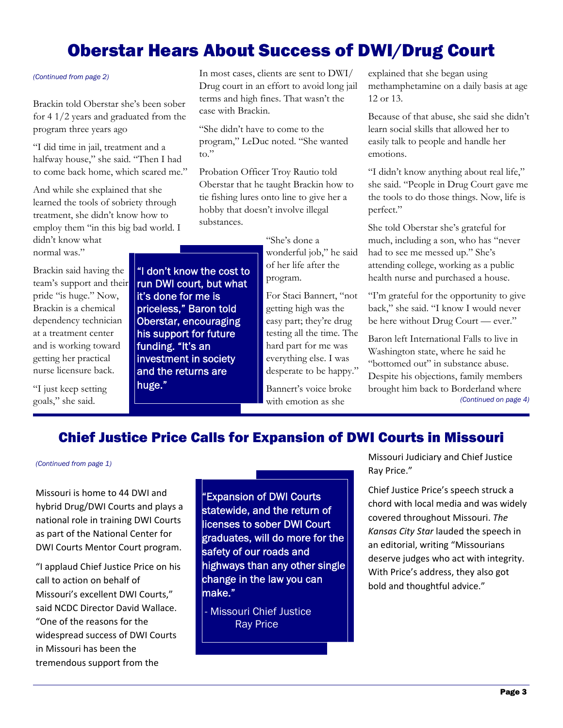# Oberstar Hears About Success of DWI/Drug Court

Brackin told Oberstar she's been sober for 4 1/2 years and graduated from the program three years ago

"I did time in jail, treatment and a halfway house," she said. "Then I had to come back home, which scared me."

And while she explained that she learned the tools of sobriety through treatment, she didn't know how to employ them "in this big bad world. I didn't know what

> "I don't know the cost to run DWI court, but what it's done for me is priceless," Baron told Oberstar, encouraging his support for future funding. "It's an investment in society and the returns are

huge."

normal was."

Brackin said having the team's support and their pride "is huge." Now, Brackin is a chemical dependency technician at a treatment center and is working toward getting her practical nurse licensure back.

"I just keep setting goals," she said.

<span id="page-2-0"></span>(Continued from page 2) **In most cases, clients are sent to DWI** explained that she began using Drug court in an effort to avoid long jail terms and high fines. That wasn't the case with Brackin.

> "She didn't have to come to the program," LeDuc noted. "She wanted to."

Probation Officer Troy Rautio told Oberstar that he taught Brackin how to tie fishing lures onto line to give her a hobby that doesn't involve illegal substances.

> "She's done a wonderful job," he said of her life after the program.

For Staci Bannert, "not getting high was the easy part; they're drug testing all the time. The hard part for me was everything else. I was desperate to be happy."

Bannert's voice broke with emotion as she

methamphetamine on a daily basis at age 12 or 13.

Because of that abuse, she said she didn't learn social skills that allowed her to easily talk to people and handle her emotions.

"I didn't know anything about real life," she said. "People in Drug Court gave me the tools to do those things. Now, life is perfect."

She told Oberstar she's grateful for much, including a son, who has "never had to see me messed up." She's attending college, working as a public health nurse and purchased a house.

"I'm grateful for the opportunity to give back," she said. "I know I would never be here without Drug Court — ever."

Baron left International Falls to live in Washington state, where he said he "bottomed out" in substance abuse. Despite his objections, family members brought him back to Borderland where *[\(Continued on page 4\)](#page-3-0)* 

## Chief Justice Price Calls for Expansion of DWI Courts in Missouri

### *[\(Continued from page 1\)](#page-0-0)*

Missouri is home to 44 DWI and hybrid Drug/DWI Courts and plays a national role in training DWI Courts as part of the National Center for DWI Courts Mentor Court program.

"I applaud Chief Justice Price on his call to action on behalf of Missouri's excellent DWI Courts," said NCDC Director David Wallace. "One of the reasons for the widespread success of DWI Courts in Missouri has been the tremendous support from the

"Expansion of DWI Courts statewide, and the return of licenses to sober DWI Court graduates, will do more for the safety of our roads and highways than any other single change in the law you can make."

- Missouri Chief Justice Ray Price

Missouri Judiciary and Chief Justice Ray Price."

Chief Justice Price's speech struck a chord with local media and was widely covered throughout Missouri. *The Kansas City Star* lauded the speech in an editorial, writing "Missourians deserve judges who act with integrity. With Price's address, they also got bold and thoughtful advice."